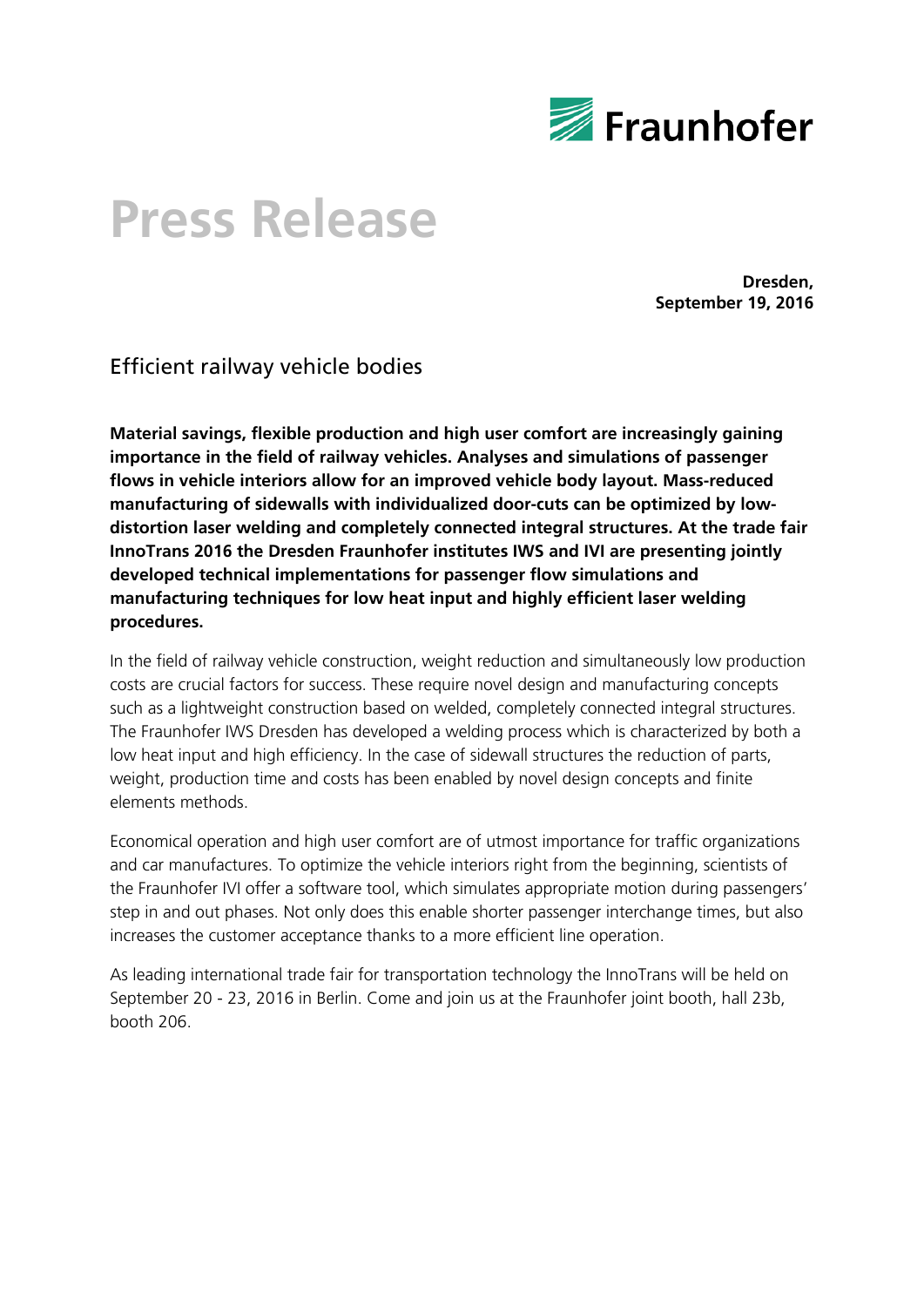

# **Press Release**

**Dresden, September 19, 2016**

Efficient railway vehicle bodies

**Material savings, flexible production and high user comfort are increasingly gaining importance in the field of railway vehicles. Analyses and simulations of passenger flows in vehicle interiors allow for an improved vehicle body layout. Mass-reduced manufacturing of sidewalls with individualized door-cuts can be optimized by lowdistortion laser welding and completely connected integral structures. At the trade fair InnoTrans 2016 the Dresden Fraunhofer institutes IWS and IVI are presenting jointly developed technical implementations for passenger flow simulations and manufacturing techniques for low heat input and highly efficient laser welding procedures.**

In the field of railway vehicle construction, weight reduction and simultaneously low production costs are crucial factors for success. These require novel design and manufacturing concepts such as a lightweight construction based on welded, completely connected integral structures. The Fraunhofer IWS Dresden has developed a welding process which is characterized by both a low heat input and high efficiency. In the case of sidewall structures the reduction of parts, weight, production time and costs has been enabled by novel design concepts and finite elements methods.

Economical operation and high user comfort are of utmost importance for traffic organizations and car manufactures. To optimize the vehicle interiors right from the beginning, scientists of the Fraunhofer IVI offer a software tool, which simulates appropriate motion during passengers' step in and out phases. Not only does this enable shorter passenger interchange times, but also increases the customer acceptance thanks to a more efficient line operation.

As leading international trade fair for transportation technology the InnoTrans will be held on September 20 - 23, 2016 in Berlin. Come and join us at the Fraunhofer joint booth, hall 23b, booth 206.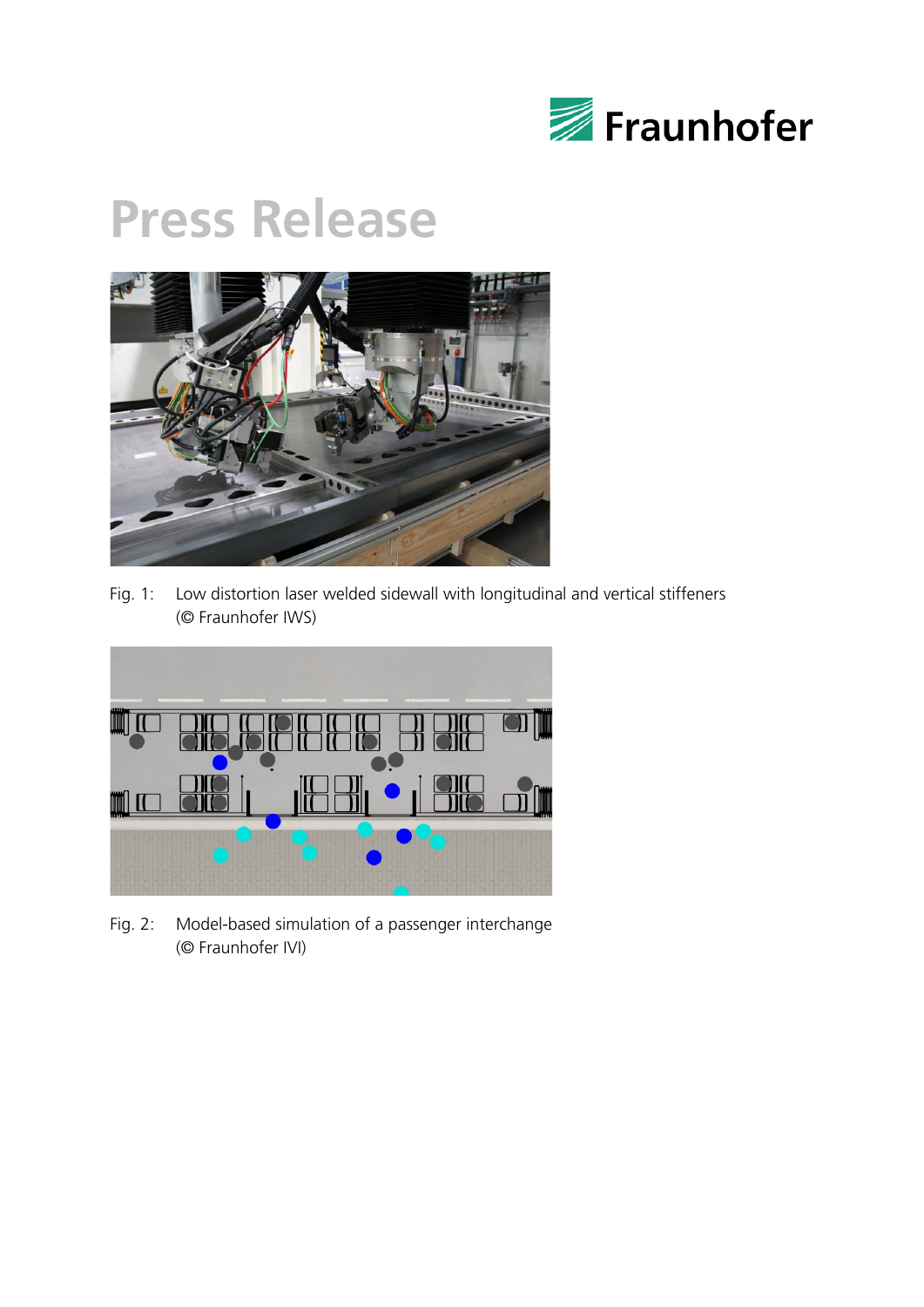

### **Press Release**



Fig. 1: Low distortion laser welded sidewall with longitudinal and vertical stiffeners (© Fraunhofer IWS)



Fig. 2: Model-based simulation of a passenger interchange (© Fraunhofer IVI)